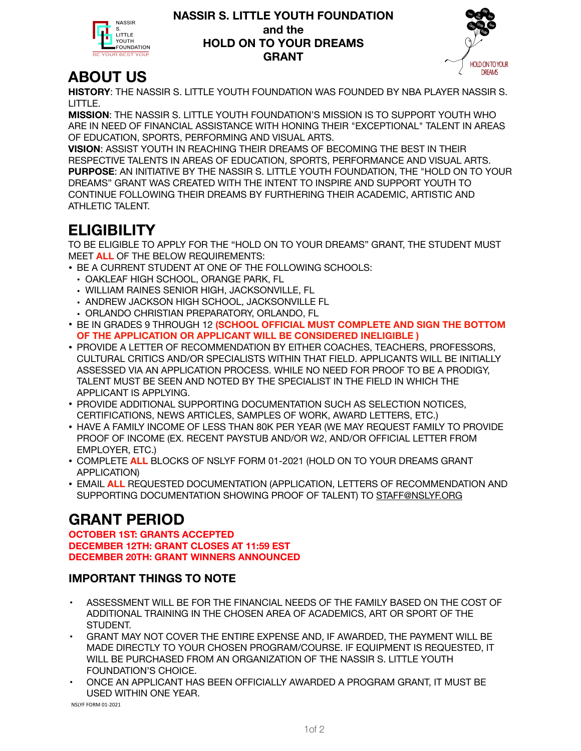**NASSIR** s **LITTLE** YOUTH FOUNDATION **IR BEST YOU** 

#### **NASSIR S. LITTLE YOUTH FOUNDATION and the HOLD ON TO YOUR DREAMS GRANT**



## **ABOUT US**

**HISTORY**: THE NASSIR S. LITTLE YOUTH FOUNDATION WAS FOUNDED BY NBA PLAYER NASSIR S. LITTLE.

**MISSION**: THE NASSIR S. LITTLE YOUTH FOUNDATION'S MISSION IS TO SUPPORT YOUTH WHO ARE IN NEED OF FINANCIAL ASSISTANCE WITH HONING THEIR "EXCEPTIONAL" TALENT IN AREAS OF EDUCATION, SPORTS, PERFORMING AND VISUAL ARTS.

**VISION**: ASSIST YOUTH IN REACHING THEIR DREAMS OF BECOMING THE BEST IN THEIR RESPECTIVE TALENTS IN AREAS OF EDUCATION, SPORTS, PERFORMANCE AND VISUAL ARTS. **PURPOSE**: AN INITIATIVE BY THE NASSIR S. LITTLE YOUTH FOUNDATION, THE "HOLD ON TO YOUR DREAMS" GRANT WAS CREATED WITH THE INTENT TO INSPIRE AND SUPPORT YOUTH TO CONTINUE FOLLOWING THEIR DREAMS BY FURTHERING THEIR ACADEMIC, ARTISTIC AND ATHLETIC TALENT.

# **ELIGIBILITY**

TO BE ELIGIBLE TO APPLY FOR THE "HOLD ON TO YOUR DREAMS" GRANT, THE STUDENT MUST MEET **ALL** OF THE BELOW REQUIREMENTS:

- BE A CURRENT STUDENT AT ONE OF THE FOLLOWING SCHOOLS:
	- OAKLEAF HIGH SCHOOL, ORANGE PARK, FL
	- WILLIAM RAINES SENIOR HIGH, JACKSONVILLE, FL
	- ANDREW JACKSON HIGH SCHOOL, JACKSONVILLE FL
	- ORLANDO CHRISTIAN PREPARATORY, ORLANDO, FL
- BE IN GRADES 9 THROUGH 12 **(SCHOOL OFFICIAL MUST COMPLETE AND SIGN THE BOTTOM OF THE APPLICATION OR APPLICANT WILL BE CONSIDERED INELIGIBLE )**
- PROVIDE A LETTER OF RECOMMENDATION BY EITHER COACHES, TEACHERS, PROFESSORS, CULTURAL CRITICS AND/OR SPECIALISTS WITHIN THAT FIELD. APPLICANTS WILL BE INITIALLY ASSESSED VIA AN APPLICATION PROCESS. WHILE NO NEED FOR PROOF TO BE A PRODIGY, TALENT MUST BE SEEN AND NOTED BY THE SPECIALIST IN THE FIELD IN WHICH THE APPLICANT IS APPLYING.
- PROVIDE ADDITIONAL SUPPORTING DOCUMENTATION SUCH AS SELECTION NOTICES, CERTIFICATIONS, NEWS ARTICLES, SAMPLES OF WORK, AWARD LETTERS, ETC.)
- HAVE A FAMILY INCOME OF LESS THAN 80K PER YEAR (WE MAY REQUEST FAMILY TO PROVIDE PROOF OF INCOME (EX. RECENT PAYSTUB AND/OR W2, AND/OR OFFICIAL LETTER FROM EMPLOYER, ETC.)
- COMPLETE **ALL** BLOCKS OF NSLYF FORM 01-2021 (HOLD ON TO YOUR DREAMS GRANT APPLICATION)
- EMAIL **ALL** REQUESTED DOCUMENTATION (APPLICATION, LETTERS OF RECOMMENDATION AND SUPPORTING DOCUMENTATION SHOWING PROOF OF TALENT) TO [STAFF@NSLYF.ORG](mailto:STAFF@NSLYF.ORG)

## **GRANT PERIOD**

**OCTOBER 1ST: GRANTS ACCEPTED DECEMBER 12TH: GRANT CLOSES AT 11:59 EST DECEMBER 20TH: GRANT WINNERS ANNOUNCED**

### **IMPORTANT THINGS TO NOTE**

- ASSESSMENT WILL BE FOR THE FINANCIAL NEEDS OF THE FAMILY BASED ON THE COST OF ADDITIONAL TRAINING IN THE CHOSEN AREA OF ACADEMICS, ART OR SPORT OF THE STUDENT.
- GRANT MAY NOT COVER THE ENTIRE EXPENSE AND, IF AWARDED, THE PAYMENT WILL BE MADE DIRECTLY TO YOUR CHOSEN PROGRAM/COURSE. IF EQUIPMENT IS REQUESTED, IT WILL BE PURCHASED FROM AN ORGANIZATION OF THE NASSIR S. LITTLE YOUTH FOUNDATION'S CHOICE.
- ONCE AN APPLICANT HAS BEEN OFFICIALLY AWARDED A PROGRAM GRANT, IT MUST BE USED WITHIN ONE YEAR.